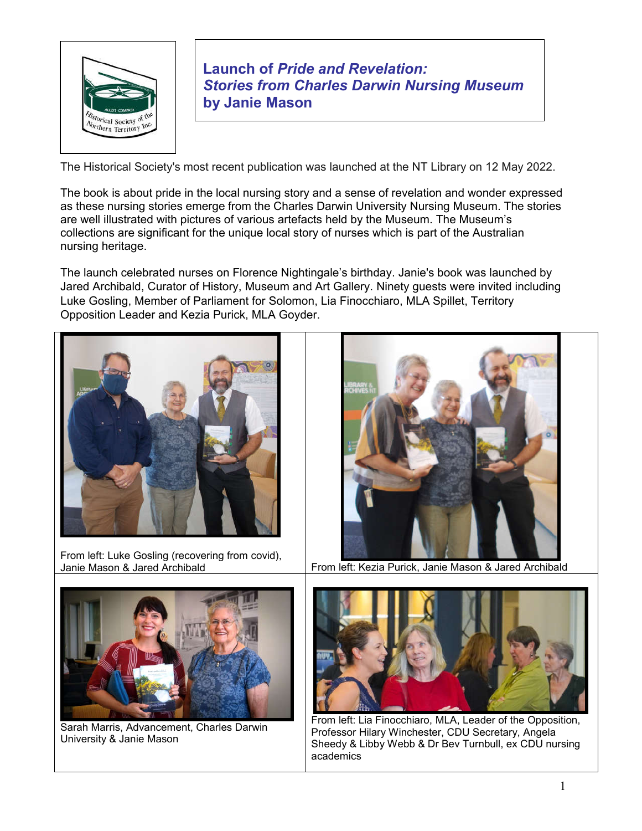

**Launch of** *Pride and Revelation: Stories from Charles Darwin Nursing Museum*  **by Janie Mason** 

The Historical Society's most recent publication was launched at the NT Library on 12 May 2022.

The book is about pride in the local nursing story and a sense of revelation and wonder expressed as these nursing stories emerge from the Charles Darwin University Nursing Museum. The stories are well illustrated with pictures of various artefacts held by the Museum. The Museum's collections are significant for the unique local story of nurses which is part of the Australian nursing heritage.

The launch celebrated nurses on Florence Nightingale's birthday. Janie's book was launched by Jared Archibald, Curator of History, Museum and Art Gallery. Ninety guests were invited including Luke Gosling, Member of Parliament for Solomon, Lia Finocchiaro, MLA Spillet, Territory Opposition Leader and Kezia Purick, MLA Goyder.